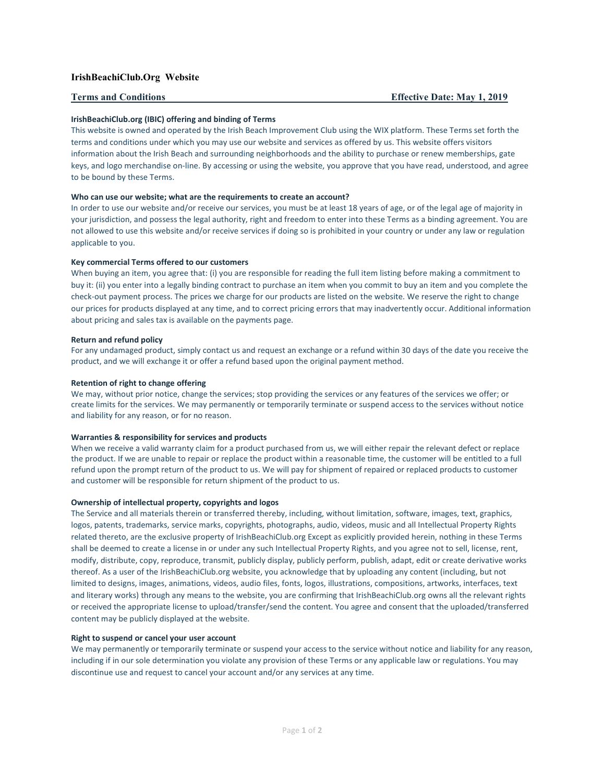# IrishBeachiClub.Org Website

## IrishBeachiClub.org (IBIC) offering and binding of Terms

This website is owned and operated by the Irish Beach Improvement Club using the WIX platform. These Terms set forth the terms and conditions under which you may use our website and services as offered by us. This website offers visitors information about the Irish Beach and surrounding neighborhoods and the ability to purchase or renew memberships, gate keys, and logo merchandise on-line. By accessing or using the website, you approve that you have read, understood, and agree to be bound by these Terms.

## Who can use our website; what are the requirements to create an account?

In order to use our website and/or receive our services, you must be at least 18 years of age, or of the legal age of majority in your jurisdiction, and possess the legal authority, right and freedom to enter into these Terms as a binding agreement. You are not allowed to use this website and/or receive services if doing so is prohibited in your country or under any law or regulation applicable to you.

## Key commercial Terms offered to our customers

When buying an item, you agree that: (i) you are responsible for reading the full item listing before making a commitment to buy it: (ii) you enter into a legally binding contract to purchase an item when you commit to buy an item and you complete the check-out payment process. The prices we charge for our products are listed on the website. We reserve the right to change our prices for products displayed at any time, and to correct pricing errors that may inadvertently occur. Additional information about pricing and sales tax is available on the payments page.

## Return and refund policy

For any undamaged product, simply contact us and request an exchange or a refund within 30 days of the date you receive the product, and we will exchange it or offer a refund based upon the original payment method.

## Retention of right to change offering

We may, without prior notice, change the services; stop providing the services or any features of the services we offer; or create limits for the services. We may permanently or temporarily terminate or suspend access to the services without notice and liability for any reason, or for no reason.

## Warranties & responsibility for services and products

When we receive a valid warranty claim for a product purchased from us, we will either repair the relevant defect or replace the product. If we are unable to repair or replace the product within a reasonable time, the customer will be entitled to a full refund upon the prompt return of the product to us. We will pay for shipment of repaired or replaced products to customer and customer will be responsible for return shipment of the product to us.

## Ownership of intellectual property, copyrights and logos

The Service and all materials therein or transferred thereby, including, without limitation, software, images, text, graphics, logos, patents, trademarks, service marks, copyrights, photographs, audio, videos, music and all Intellectual Property Rights related thereto, are the exclusive property of IrishBeachiClub.org Except as explicitly provided herein, nothing in these Terms shall be deemed to create a license in or under any such Intellectual Property Rights, and you agree not to sell, license, rent, modify, distribute, copy, reproduce, transmit, publicly display, publicly perform, publish, adapt, edit or create derivative works thereof. As a user of the IrishBeachiClub.org website, you acknowledge that by uploading any content (including, but not limited to designs, images, animations, videos, audio files, fonts, logos, illustrations, compositions, artworks, interfaces, text and literary works) through any means to the website, you are confirming that IrishBeachiClub.org owns all the relevant rights or received the appropriate license to upload/transfer/send the content. You agree and consent that the uploaded/transferred content may be publicly displayed at the website.

## Right to suspend or cancel your user account

We may permanently or temporarily terminate or suspend your access to the service without notice and liability for any reason, including if in our sole determination you violate any provision of these Terms or any applicable law or regulations. You may discontinue use and request to cancel your account and/or any services at any time.